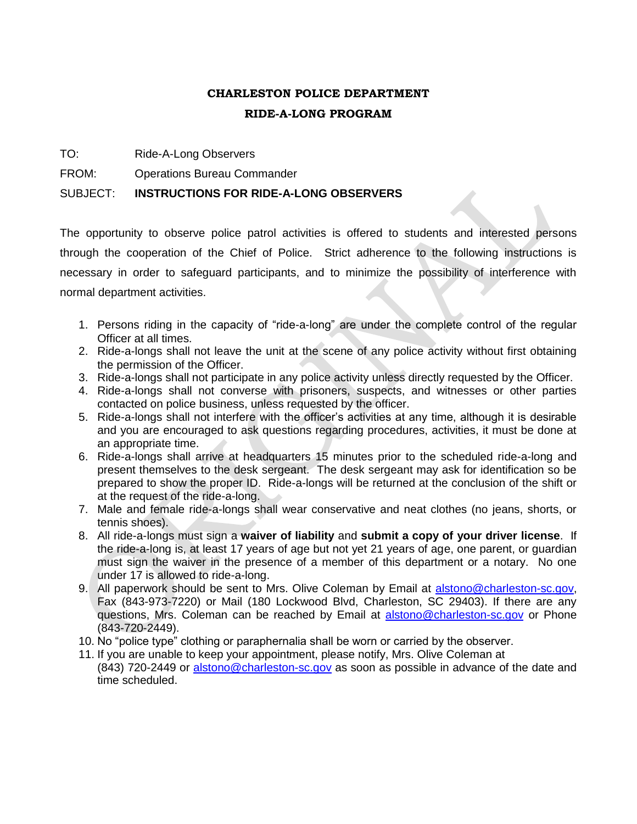# **CHARLESTON POLICE DEPARTMENT RIDE-A-LONG PROGRAM**

- TO: Ride-A-Long Observers
- FROM: Operations Bureau Commander

### SUBJECT: **INSTRUCTIONS FOR RIDE-A-LONG OBSERVERS**

The opportunity to observe police patrol activities is offered to students and interested persons through the cooperation of the Chief of Police. Strict adherence to the following instructions is necessary in order to safeguard participants, and to minimize the possibility of interference with normal department activities.

- 1. Persons riding in the capacity of "ride-a-long" are under the complete control of the regular Officer at all times.
- 2. Ride-a-longs shall not leave the unit at the scene of any police activity without first obtaining the permission of the Officer.
- 3. Ride-a-longs shall not participate in any police activity unless directly requested by the Officer.
- 4. Ride-a-longs shall not converse with prisoners, suspects, and witnesses or other parties contacted on police business, unless requested by the officer.
- 5. Ride-a-longs shall not interfere with the officer's activities at any time, although it is desirable and you are encouraged to ask questions regarding procedures, activities, it must be done at an appropriate time.
- 6. Ride-a-longs shall arrive at headquarters 15 minutes prior to the scheduled ride-a-long and present themselves to the desk sergeant. The desk sergeant may ask for identification so be prepared to show the proper ID. Ride-a-longs will be returned at the conclusion of the shift or at the request of the ride-a-long.
- 7. Male and female ride-a-longs shall wear conservative and neat clothes (no jeans, shorts, or tennis shoes).
- 8. All ride-a-longs must sign a **waiver of liability** and **submit a copy of your driver license**. If the ride-a-long is, at least 17 years of age but not yet 21 years of age, one parent, or guardian must sign the waiver in the presence of a member of this department or a notary. No one under 17 is allowed to ride-a-long.
- 9. All paperwork should be sent to Mrs. Olive Coleman by Email at [alstono@charleston-sc.gov,](mailto:alstono@charleston-sc.gov) Fax (843-973-7220) or Mail (180 Lockwood Blvd, Charleston, SC 29403). If there are any questions, Mrs. Coleman can be reached by Email at [alstono@charleston-sc.gov](mailto:alstono@charleston-sc.gov) or Phone (843-720-2449).
- 10. No "police type" clothing or paraphernalia shall be worn or carried by the observer.
- 11. If you are unable to keep your appointment, please notify, Mrs. Olive Coleman at (843) 720-2449 or [alstono@charleston-sc.gov](mailto:alstono@charleston-sc.gov) as soon as possible in advance of the date and time scheduled.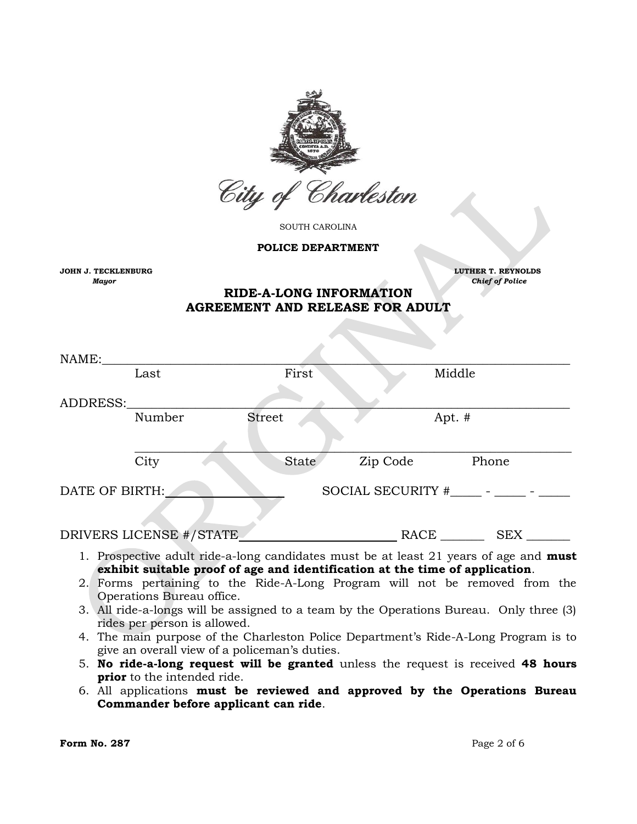

SOUTH CAROLINA

**POLICE DEPARTMENT**

**JOHN J. TECKLENBURG LUTHER T. REYNOLDS** 

*Mayor* Chief of Police **Chief of Police Chief of Police Chief of Police Chief of Police** 

## **RIDE-A-LONG INFORMATION AGREEMENT AND RELEASE FOR ADULT**

| NAME:          |                         |               |                             |            |  |
|----------------|-------------------------|---------------|-----------------------------|------------|--|
|                | Last                    | First         |                             | Middle     |  |
|                |                         |               |                             |            |  |
| ADDRESS:       |                         |               |                             |            |  |
|                | Number                  | <b>Street</b> |                             | Apt. #     |  |
|                |                         |               |                             |            |  |
|                | City                    | State         | Zip Code                    | Phone      |  |
| DATE OF BIRTH: |                         |               | SOCIAL SECURITY $#$ $    -$ |            |  |
|                | DRIVERS LICENSE #/STATE |               | RACE                        | <b>SEX</b> |  |

- 1. Prospective adult ride-a-long candidates must be at least 21 years of age and **must exhibit suitable proof of age and identification at the time of application**.
- 2. Forms pertaining to the Ride-A-Long Program will not be removed from the Operations Bureau office.
- 3. All ride-a-longs will be assigned to a team by the Operations Bureau. Only three (3) rides per person is allowed.
- 4. The main purpose of the Charleston Police Department's Ride-A-Long Program is to give an overall view of a policeman's duties.
- 5. **No ride-a-long request will be granted** unless the request is received **48 hours prior** to the intended ride.
- 6. All applications **must be reviewed and approved by the Operations Bureau Commander before applicant can ride**.

**Form No. 287** Page 2 of 6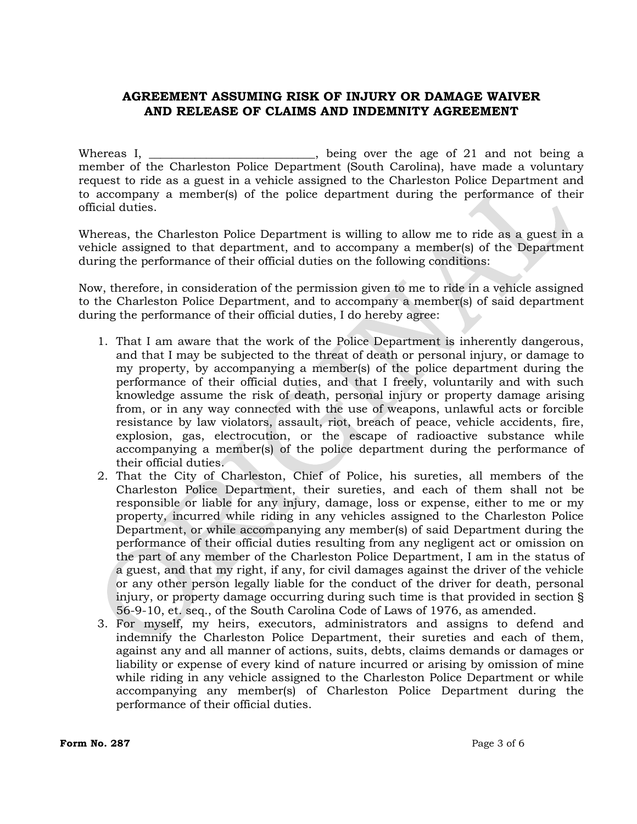## **AGREEMENT ASSUMING RISK OF INJURY OR DAMAGE WAIVER AND RELEASE OF CLAIMS AND INDEMNITY AGREEMENT**

Whereas I, \_\_\_\_\_\_\_\_\_\_\_\_\_\_\_\_\_\_\_\_\_\_\_\_, being over the age of 21 and not being a member of the Charleston Police Department (South Carolina), have made a voluntary request to ride as a guest in a vehicle assigned to the Charleston Police Department and to accompany a member(s) of the police department during the performance of their official duties.

Whereas, the Charleston Police Department is willing to allow me to ride as a guest in a vehicle assigned to that department, and to accompany a member(s) of the Department during the performance of their official duties on the following conditions:

Now, therefore, in consideration of the permission given to me to ride in a vehicle assigned to the Charleston Police Department, and to accompany a member(s) of said department during the performance of their official duties, I do hereby agree:

- 1. That I am aware that the work of the Police Department is inherently dangerous, and that I may be subjected to the threat of death or personal injury, or damage to my property, by accompanying a member(s) of the police department during the performance of their official duties, and that I freely, voluntarily and with such knowledge assume the risk of death, personal injury or property damage arising from, or in any way connected with the use of weapons, unlawful acts or forcible resistance by law violators, assault, riot, breach of peace, vehicle accidents, fire, explosion, gas, electrocution, or the escape of radioactive substance while accompanying a member(s) of the police department during the performance of their official duties.
- 2. That the City of Charleston, Chief of Police, his sureties, all members of the Charleston Police Department, their sureties, and each of them shall not be responsible or liable for any injury, damage, loss or expense, either to me or my property, incurred while riding in any vehicles assigned to the Charleston Police Department, or while accompanying any member(s) of said Department during the performance of their official duties resulting from any negligent act or omission on the part of any member of the Charleston Police Department, I am in the status of a guest, and that my right, if any, for civil damages against the driver of the vehicle or any other person legally liable for the conduct of the driver for death, personal injury, or property damage occurring during such time is that provided in section § 56-9-10, et. seq., of the South Carolina Code of Laws of 1976, as amended.
- 3. For myself, my heirs, executors, administrators and assigns to defend and indemnify the Charleston Police Department, their sureties and each of them, against any and all manner of actions, suits, debts, claims demands or damages or liability or expense of every kind of nature incurred or arising by omission of mine while riding in any vehicle assigned to the Charleston Police Department or while accompanying any member(s) of Charleston Police Department during the performance of their official duties.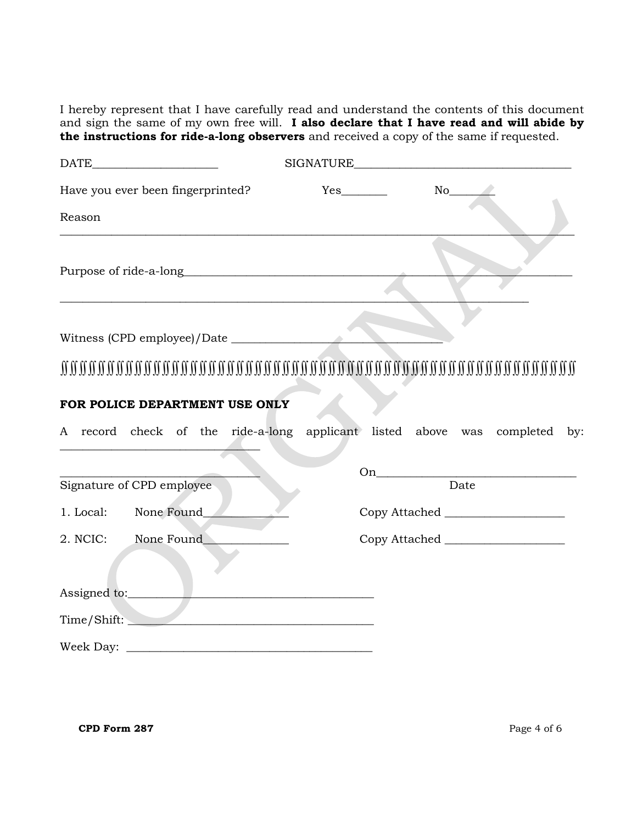I hereby represent that I have carefully read and understand the contents of this document and sign the same of my own free will. **I also declare that I have read and will abide by the instructions for ride-a-long observers** and received a copy of the same if requested.

|              | $\begin{tabular}{c} DATE \end{tabular}$                                                                                                         | SIGNATURE <b>SIGNATURE</b> |                                                                            |
|--------------|-------------------------------------------------------------------------------------------------------------------------------------------------|----------------------------|----------------------------------------------------------------------------|
|              | Have you ever been fingerprinted?                                                                                                               |                            | $No$ <sub>__</sub>                                                         |
| Reason       |                                                                                                                                                 |                            |                                                                            |
|              | Purpose of ride-a-long<br><u> 1989 - Johann Stoff, deutscher Stoff, der Stoff, der Stoff, der Stoff, der Stoff, der Stoff, der Stoff, der S</u> |                            |                                                                            |
|              |                                                                                                                                                 |                            |                                                                            |
|              |                                                                                                                                                 |                            |                                                                            |
|              | FOR POLICE DEPARTMENT USE ONLY                                                                                                                  |                            |                                                                            |
|              |                                                                                                                                                 |                            | A record check of the ride-a-long applicant listed above was completed by: |
|              |                                                                                                                                                 |                            |                                                                            |
|              | Signature of CPD employee                                                                                                                       |                            | Date                                                                       |
| 1. Local:    | None Found_                                                                                                                                     |                            |                                                                            |
| 2. NCIC:     | None Found                                                                                                                                      |                            |                                                                            |
| Assigned to: |                                                                                                                                                 |                            |                                                                            |
|              | Time/Shift:                                                                                                                                     |                            |                                                                            |
|              |                                                                                                                                                 |                            |                                                                            |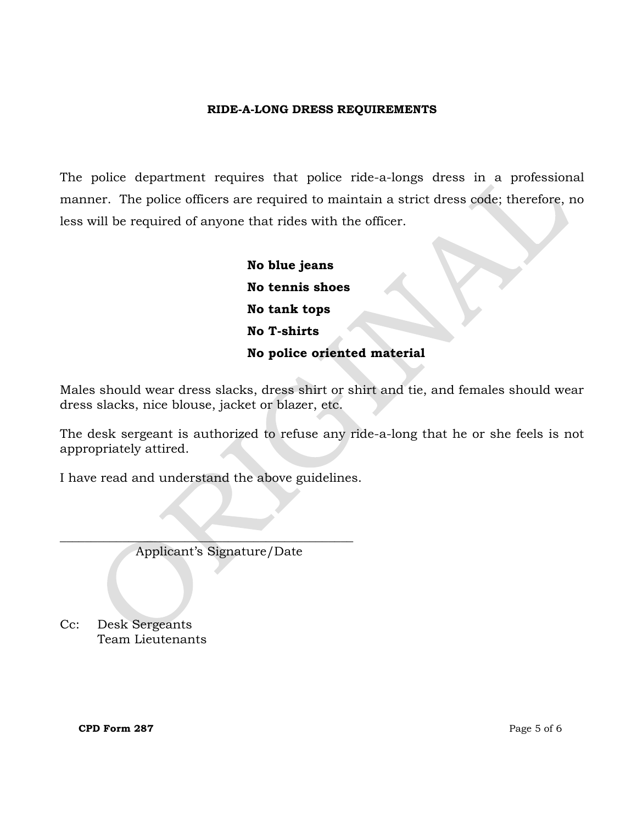### **RIDE-A-LONG DRESS REQUIREMENTS**

The police department requires that police ride-a-longs dress in a professional manner. The police officers are required to maintain a strict dress code; therefore, no less will be required of anyone that rides with the officer.

> **No blue jeans No tennis shoes No tank tops No T-shirts No police oriented material**

Males should wear dress slacks, dress shirt or shirt and tie, and females should wear dress slacks, nice blouse, jacket or blazer, etc.

The desk sergeant is authorized to refuse any ride-a-long that he or she feels is not appropriately attired.

I have read and understand the above guidelines.

Applicant's Signature/Date

\_\_\_\_\_\_\_\_\_\_\_\_\_\_\_\_\_\_\_\_\_\_\_\_\_\_\_\_\_\_\_\_\_\_\_\_\_\_\_\_\_\_\_\_\_\_\_

Cc: Desk Sergeants Team Lieutenants